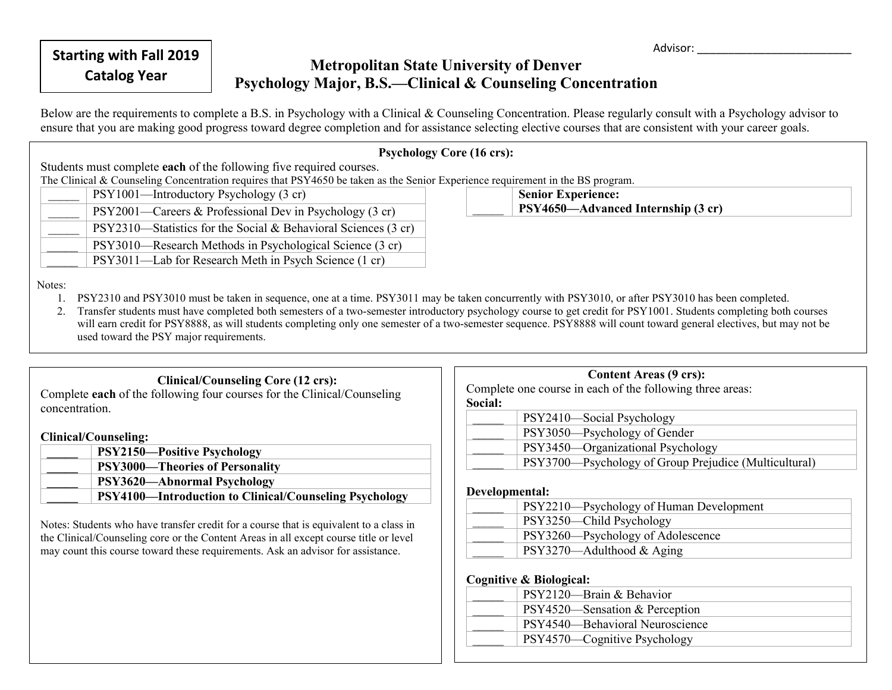Advisor:

# **Catalog Year Metropolitan State University of Denver**<br> **Catalog Year Metropolitan B.S. Clinical & Geometics Geo Psychology Major, B.S.—Clinical & Counseling Concentration**

Below are the requirements to complete a B.S. in Psychology with a Clinical & Counseling Concentration. Please regularly consult with a Psychology advisor to ensure that you are making good progress toward degree completion and for assistance selecting elective courses that are consistent with your career goals.

## **Psychology Core (16 crs):**

 $\mathcal{L}$ 

Students must complete **each** of the following five required courses.

The Clinical & Counseling Concentration requires that PSY4650 be taken as the Senior Experience requirement in the BS program.

PSY1001—Introductory Psychology (3 cr) PSY2001—Careers & Professional Dev in Psychology (3 cr) PSY2310—Statistics for the Social & Behavioral Sciences (3 cr) PSY3010—Research Methods in Psychological Science (3 cr) PSY3011—Lab for Research Meth in Psych Science (1 cr)

**Senior Experience: PSY4650—Advanced Internship (3 cr)**

Notes:

- 1. PSY2310 and PSY3010 must be taken in sequence, one at a time. PSY3011 may be taken concurrently with PSY3010, or after PSY3010 has been completed.
- 2. Transfer students must have completed both semesters of a two-semester introductory psychology course to get credit for PSY1001. Students completing both courses will earn credit for PSY8888, as will students completing only one semester of a two-semester sequence. PSY8888 will count toward general electives, but may not be used toward the PSY major requirements.

## **Clinical/Counseling Core (12 crs):**

Complete **each** of the following four courses for the Clinical/Counseling concentration.

**Clinical/Counseling:**

| <b>PSY2150-Positive Psychology</b>                            |
|---------------------------------------------------------------|
| <b>PSY3000—Theories of Personality</b>                        |
| <b>PSY3620—Abnormal Psychology</b>                            |
| <b>PSY4100—Introduction to Clinical/Counseling Psychology</b> |

Notes: Students who have transfer credit for a course that is equivalent to a class in the Clinical/Counseling core or the Content Areas in all except course title or level may count this course toward these requirements. Ask an advisor for assistance.

| <b>Content Areas (9 crs):</b>                             |                                                       |
|-----------------------------------------------------------|-------------------------------------------------------|
| Complete one course in each of the following three areas: |                                                       |
| Social:                                                   |                                                       |
|                                                           | PSY2410-Social Psychology                             |
|                                                           | PSY3050—Psychology of Gender                          |
|                                                           | PSY3450—Organizational Psychology                     |
|                                                           | PSY3700—Psychology of Group Prejudice (Multicultural) |

### **Developmental:**

| PSY2210—Psychology of Human Development |
|-----------------------------------------|
| PSY3250—Child Psychology                |
| PSY3260—Psychology of Adolescence       |
| $PSY3270$ —Adulthood & Aging            |

**Cognitive & Biological:**

| PSY2120—Brain & Behavior        |
|---------------------------------|
| PSY4520—Sensation & Perception  |
| PSY4540-Behavioral Neuroscience |
| PSY4570—Cognitive Psychology    |